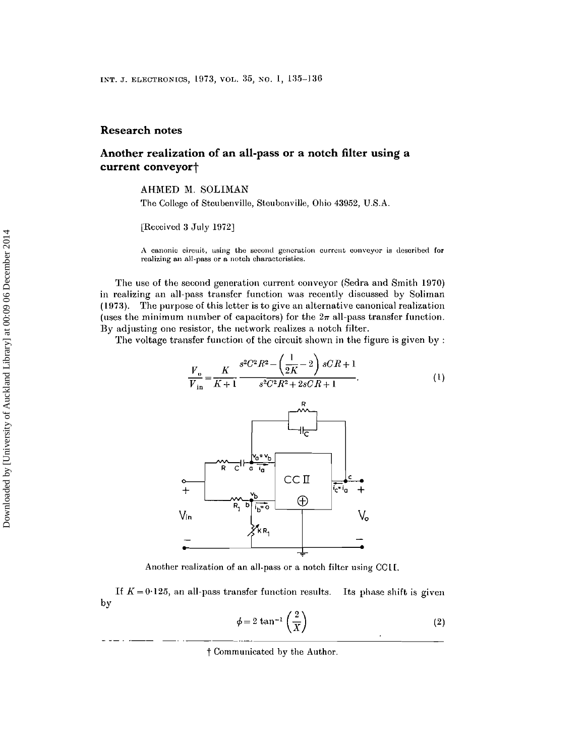## **Research notes**

## **Another realization of an all-pass or a notch filter using a** current conveyor<sup>+</sup>

AHMED M. SOLIMAN

The College of Steubenville, Steubenville, Ohio 43962, U.S.A.

[Received 3 July 1972]

**A canonic** circuit., **using the second generation current conveyor is described for realizing an all-pass or** *a* **notch characteristics.**

The use of the second generation current conveyor (Sedra and Smith 1970) in realizing an all-pass transfer function was recently discussed by Soliman  $(1973)$ . The purpose of this letter is to give an alternative canonical realization (uses the minimum number of capacitors) for the  $2\pi$  all-pass transfer function. By adjusting one resistor, the network realizes a notch filter.

The voltage transfer function of the circuit shown in the figure is given by :

$$
\frac{V_{o}}{V_{in}} = \frac{K}{K+1} \frac{s^{2}C^{2}R^{2} - \left(\frac{1}{2K} - 2\right)sCR + 1}{s^{2}C^{2}R^{2} + 2sCR + 1}.
$$
 (1)



Another realization of an all-pass or a notch filter using CC1L

If  $K = 0.125$ , an all-pass transfer function results. Its phase shift is given by

$$
\phi = 2 \tan^{-1} \left( \frac{2}{X} \right) \tag{2}
$$

t Communicated by the Author.